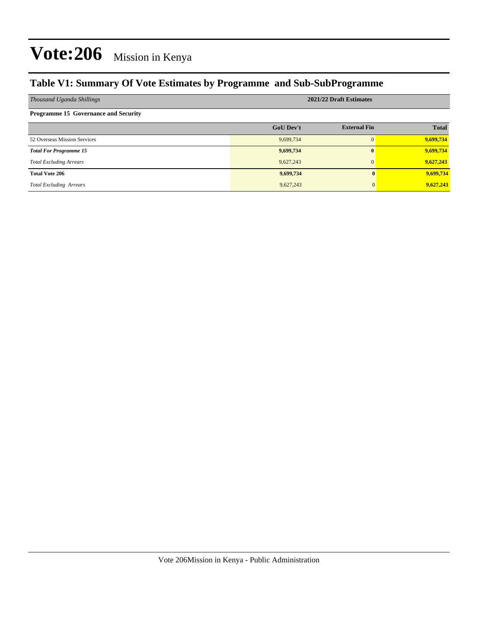### **Table V1: Summary Of Vote Estimates by Programme and Sub-SubProgramme**

| Thousand Uganda Shillings                   | 2021/22 Draft Estimates |                     |              |  |  |  |  |
|---------------------------------------------|-------------------------|---------------------|--------------|--|--|--|--|
| <b>Programme 15 Governance and Security</b> |                         |                     |              |  |  |  |  |
|                                             | <b>GoU Dev't</b>        | <b>External Fin</b> | <b>Total</b> |  |  |  |  |
| 52 Overseas Mission Services                | 9,699,734               | $\Omega$            | 9,699,734    |  |  |  |  |
| <b>Total For Programme 15</b>               | 9,699,734               | $\bf{0}$            | 9,699,734    |  |  |  |  |
| <b>Total Excluding Arrears</b>              | 9,627,243               | $\Omega$            | 9,627,243    |  |  |  |  |
| <b>Total Vote 206</b>                       | 9,699,734               |                     | 9,699,734    |  |  |  |  |
| <b>Total Excluding Arrears</b>              | 9,627,243               |                     | 9,627,243    |  |  |  |  |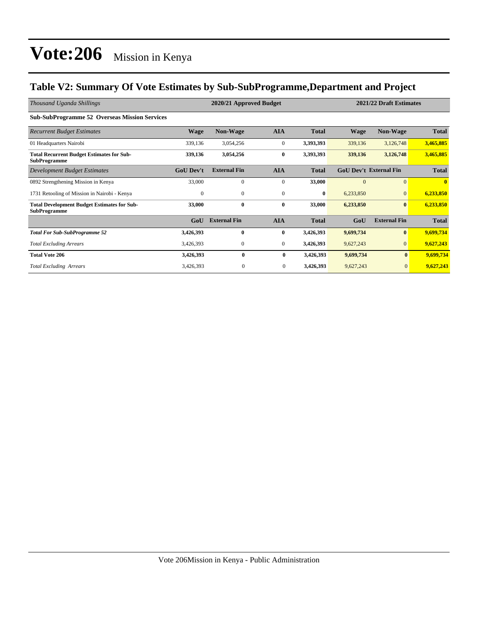### **Table V2: Summary Of Vote Estimates by Sub-SubProgramme,Department and Project**

| Thousand Uganda Shillings                                                 |                  | 2020/21 Approved Budget |                | 2021/22 Draft Estimates |             |                               |              |
|---------------------------------------------------------------------------|------------------|-------------------------|----------------|-------------------------|-------------|-------------------------------|--------------|
| <b>Sub-SubProgramme 52 Overseas Mission Services</b>                      |                  |                         |                |                         |             |                               |              |
| <b>Recurrent Budget Estimates</b>                                         | <b>Wage</b>      | <b>Non-Wage</b>         | <b>AIA</b>     | <b>Total</b>            | <b>Wage</b> | <b>Non-Wage</b>               | <b>Total</b> |
| 01 Headquarters Nairobi                                                   | 339,136          | 3,054,256               | $\overline{0}$ | 3,393,393               | 339,136     | 3,126,748                     | 3,465,885    |
| <b>Total Recurrent Budget Estimates for Sub-</b><br><b>SubProgramme</b>   | 339,136          | 3,054,256               | $\bf{0}$       | 3,393,393               | 339,136     | 3,126,748                     | 3,465,885    |
| Development Budget Estimates                                              | <b>GoU Dev't</b> | <b>External Fin</b>     | <b>AIA</b>     | <b>Total</b>            |             | <b>GoU Dev't External Fin</b> | <b>Total</b> |
| 0892 Strengthening Mission in Kenya                                       | 33,000           | 0                       | $\mathbf{0}$   | 33,000                  | $\Omega$    | $\mathbf{0}$                  | $\mathbf{0}$ |
| 1731 Retooling of Mission in Nairobi - Kenya                              | $\mathbf{0}$     | $\mathbf{0}$            | $\mathbf{0}$   | $\bf{0}$                | 6,233,850   | $\mathbf{0}$                  | 6,233,850    |
| <b>Total Development Budget Estimates for Sub-</b><br><b>SubProgramme</b> | 33,000           | $\bf{0}$                | $\bf{0}$       | 33,000                  | 6,233,850   | $\boldsymbol{0}$              | 6,233,850    |
|                                                                           | GoU              | <b>External Fin</b>     | <b>AIA</b>     | <b>Total</b>            | GoU         | <b>External Fin</b>           | <b>Total</b> |
| <b>Total For Sub-SubProgramme 52</b>                                      | 3,426,393        | $\bf{0}$                | $\bf{0}$       | 3,426,393               | 9,699,734   | $\boldsymbol{0}$              | 9,699,734    |
| <b>Total Excluding Arrears</b>                                            | 3,426,393        | $\mathbf{0}$            | $\overline{0}$ | 3,426,393               | 9,627,243   | $\vert 0 \vert$               | 9,627,243    |
| <b>Total Vote 206</b>                                                     | 3,426,393        | $\bf{0}$                | $\bf{0}$       | 3,426,393               | 9,699,734   | $\bf{0}$                      | 9,699,734    |
| <b>Total Excluding Arrears</b>                                            | 3,426,393        | $\boldsymbol{0}$        | $\mathbf{0}$   | 3,426,393               | 9,627,243   | $\mathbf{0}$                  | 9,627,243    |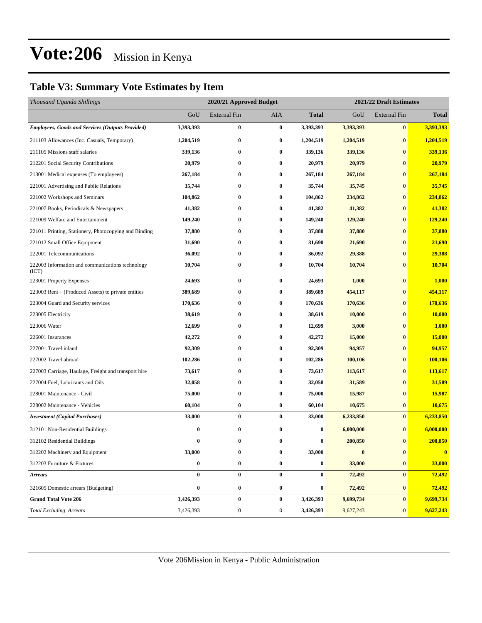### **Table V3: Summary Vote Estimates by Item**

| Thousand Uganda Shillings                                 |           | 2020/21 Approved Budget |                  |                  | 2021/22 Draft Estimates |                     |              |  |
|-----------------------------------------------------------|-----------|-------------------------|------------------|------------------|-------------------------|---------------------|--------------|--|
|                                                           | GoU       | <b>External Fin</b>     | AIA              | <b>Total</b>     | GoU                     | <b>External Fin</b> | <b>Total</b> |  |
| <b>Employees, Goods and Services (Outputs Provided)</b>   | 3,393,393 | $\bf{0}$                | $\bf{0}$         | 3,393,393        | 3,393,393               | $\bf{0}$            | 3,393,393    |  |
| 211103 Allowances (Inc. Casuals, Temporary)               | 1,204,519 | $\bf{0}$                | 0                | 1,204,519        | 1,204,519               | $\bf{0}$            | 1,204,519    |  |
| 211105 Missions staff salaries                            | 339,136   | $\bf{0}$                | $\bf{0}$         | 339,136          | 339,136                 | $\bf{0}$            | 339,136      |  |
| 212201 Social Security Contributions                      | 20,979    | $\bf{0}$                | 0                | 20,979           | 20,979                  | $\bf{0}$            | 20,979       |  |
| 213001 Medical expenses (To employees)                    | 267,184   | $\bf{0}$                | 0                | 267,184          | 267,184                 | $\bf{0}$            | 267,184      |  |
| 221001 Advertising and Public Relations                   | 35,744    | $\bf{0}$                | 0                | 35,744           | 35,745                  | $\bf{0}$            | 35,745       |  |
| 221002 Workshops and Seminars                             | 104,862   | $\bf{0}$                | 0                | 104,862          | 234,862                 | $\bf{0}$            | 234,862      |  |
| 221007 Books, Periodicals & Newspapers                    | 41,382    | $\bf{0}$                | $\bf{0}$         | 41,382           | 41,382                  | $\bf{0}$            | 41,382       |  |
| 221009 Welfare and Entertainment                          | 149,240   | $\bf{0}$                | $\bf{0}$         | 149,240          | 129,240                 | $\bf{0}$            | 129,240      |  |
| 221011 Printing, Stationery, Photocopying and Binding     | 37,880    | $\bf{0}$                | 0                | 37,880           | 37,880                  | $\bf{0}$            | 37,880       |  |
| 221012 Small Office Equipment                             | 31,690    | $\bf{0}$                | 0                | 31,690           | 21,690                  | $\bf{0}$            | 21,690       |  |
| 222001 Telecommunications                                 | 36,092    | $\bf{0}$                | 0                | 36,092           | 29,388                  | $\bf{0}$            | 29,388       |  |
| 222003 Information and communications technology<br>(ICT) | 10,704    | $\bf{0}$                | 0                | 10,704           | 10,704                  | $\bf{0}$            | 10,704       |  |
| 223001 Property Expenses                                  | 24,693    | $\bf{0}$                | $\bf{0}$         | 24,693           | 1,000                   | $\bf{0}$            | 1,000        |  |
| 223003 Rent – (Produced Assets) to private entities       | 389,689   | $\bf{0}$                | 0                | 389,689          | 454,117                 | $\bf{0}$            | 454,117      |  |
| 223004 Guard and Security services                        | 170,636   | $\bf{0}$                | $\bf{0}$         | 170,636          | 170,636                 | $\bf{0}$            | 170,636      |  |
| 223005 Electricity                                        | 38,619    | $\bf{0}$                | 0                | 38,619           | 10,000                  | $\bf{0}$            | 10,000       |  |
| 223006 Water                                              | 12,699    | $\bf{0}$                | $\bf{0}$         | 12,699           | 3,000                   | $\bf{0}$            | 3,000        |  |
| 226001 Insurances                                         | 42,272    | $\bf{0}$                | 0                | 42,272           | 15,000                  | $\bf{0}$            | 15,000       |  |
| 227001 Travel inland                                      | 92,309    | $\bf{0}$                | 0                | 92,309           | 94,957                  | $\bf{0}$            | 94,957       |  |
| 227002 Travel abroad                                      | 102,286   | $\bf{0}$                | $\bf{0}$         | 102,286          | 100,106                 | $\bf{0}$            | 100,106      |  |
| 227003 Carriage, Haulage, Freight and transport hire      | 73,617    | $\bf{0}$                | 0                | 73,617           | 113,617                 | $\bf{0}$            | 113,617      |  |
| 227004 Fuel, Lubricants and Oils                          | 32,058    | $\bf{0}$                | $\bf{0}$         | 32,058           | 31,589                  | $\bf{0}$            | 31,589       |  |
| 228001 Maintenance - Civil                                | 75,000    | $\bf{0}$                | 0                | 75,000           | 15,987                  | $\bf{0}$            | 15,987       |  |
| 228002 Maintenance - Vehicles                             | 60,104    | $\bf{0}$                | 0                | 60,104           | 10,675                  | $\bf{0}$            | 10,675       |  |
| <b>Investment</b> (Capital Purchases)                     | 33,000    | $\bf{0}$                | $\bf{0}$         | 33,000           | 6,233,850               | $\bf{0}$            | 6,233,850    |  |
| 312101 Non-Residential Buildings                          | $\bf{0}$  | $\bf{0}$                | $\bf{0}$         | $\boldsymbol{0}$ | 6,000,000               | $\bf{0}$            | 6,000,000    |  |
| 312102 Residential Buildings                              | $\bf{0}$  | $\bf{0}$                | 0                | $\bf{0}$         | 200,850                 | $\bf{0}$            | 200,850      |  |
| 312202 Machinery and Equipment                            | 33,000    | $\bf{0}$                | $\bf{0}$         | 33,000           | $\boldsymbol{0}$        | $\bf{0}$            | $\bf{0}$     |  |
| 312203 Furniture & Fixtures                               | $\bf{0}$  | $\bf{0}$                | 0                | 0                | 33,000                  | $\bf{0}$            | 33,000       |  |
| <b>Arrears</b>                                            | $\pmb{0}$ | $\bf{0}$                | $\bf{0}$         | $\bf{0}$         | 72,492                  | $\bf{0}$            | 72,492       |  |
| 321605 Domestic arrears (Budgeting)                       | $\bf{0}$  | $\bf{0}$                | $\bf{0}$         | 0                | 72,492                  | $\bf{0}$            | 72,492       |  |
| <b>Grand Total Vote 206</b>                               | 3,426,393 | $\pmb{0}$               | $\bf{0}$         | 3,426,393        | 9,699,734               | $\bf{0}$            | 9,699,734    |  |
| <b>Total Excluding Arrears</b>                            | 3,426,393 | $\boldsymbol{0}$        | $\boldsymbol{0}$ | 3,426,393        | 9,627,243               | $\mathbf{0}$        | 9,627,243    |  |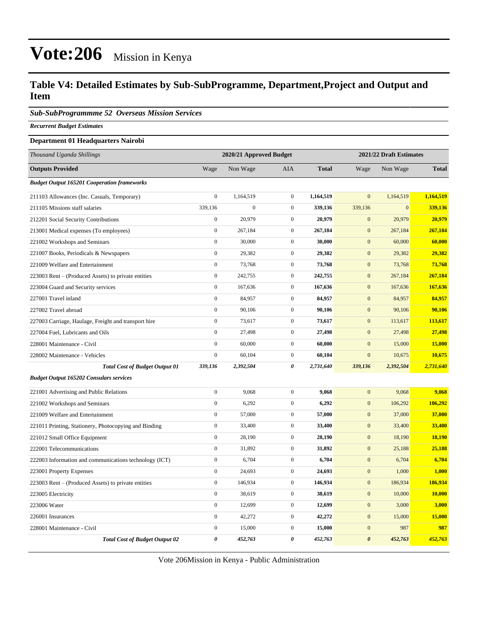#### **Table V4: Detailed Estimates by Sub-SubProgramme, Department,Project and Output and Item**

*Sub-SubProgrammme 52 Overseas Mission Services*

*Recurrent Budget Estimates*

#### **Department 01 Headquarters Nairobi**

| Thousand Uganda Shillings                              | 2020/21 Approved Budget<br>2021/22 Draft Estimates |                  |                  |              |                       |              |              |
|--------------------------------------------------------|----------------------------------------------------|------------------|------------------|--------------|-----------------------|--------------|--------------|
| <b>Outputs Provided</b>                                | Wage                                               | Non Wage         | AIA              | <b>Total</b> | Wage                  | Non Wage     | <b>Total</b> |
| <b>Budget Output 165201 Cooperation frameworks</b>     |                                                    |                  |                  |              |                       |              |              |
| 211103 Allowances (Inc. Casuals, Temporary)            | $\overline{0}$                                     | 1,164,519        | $\boldsymbol{0}$ | 1,164,519    | $\mathbf{0}$          | 1,164,519    | 1,164,519    |
| 211105 Missions staff salaries                         | 339,136                                            | $\boldsymbol{0}$ | $\mathbf{0}$     | 339,136      | 339,136               | $\mathbf{0}$ | 339,136      |
| 212201 Social Security Contributions                   | $\overline{0}$                                     | 20,979           | $\mathbf{0}$     | 20,979       | $\overline{0}$        | 20,979       | 20,979       |
| 213001 Medical expenses (To employees)                 | $\boldsymbol{0}$                                   | 267,184          | $\mathbf{0}$     | 267,184      | $\mathbf{0}$          | 267,184      | 267,184      |
| 221002 Workshops and Seminars                          | $\boldsymbol{0}$                                   | 30,000           | $\mathbf{0}$     | 30,000       | $\mathbf{0}$          | 60,000       | 60,000       |
| 221007 Books, Periodicals & Newspapers                 | $\boldsymbol{0}$                                   | 29,382           | $\mathbf{0}$     | 29,382       | $\mathbf{0}$          | 29,382       | 29,382       |
| 221009 Welfare and Entertainment                       | $\overline{0}$                                     | 73,768           | $\mathbf{0}$     | 73,768       | $\mathbf{0}$          | 73,768       | 73,768       |
| 223003 Rent – (Produced Assets) to private entities    | $\boldsymbol{0}$                                   | 242,755          | $\boldsymbol{0}$ | 242,755      | $\boldsymbol{0}$      | 267,184      | 267,184      |
| 223004 Guard and Security services                     | $\boldsymbol{0}$                                   | 167,636          | $\mathbf{0}$     | 167,636      | $\mathbf{0}$          | 167,636      | 167,636      |
| 227001 Travel inland                                   | $\boldsymbol{0}$                                   | 84,957           | $\boldsymbol{0}$ | 84,957       | $\boldsymbol{0}$      | 84,957       | 84,957       |
| 227002 Travel abroad                                   | $\overline{0}$                                     | 90,106           | $\boldsymbol{0}$ | 90,106       | $\overline{0}$        | 90,106       | 90,106       |
| 227003 Carriage, Haulage, Freight and transport hire   | $\boldsymbol{0}$                                   | 73,617           | $\boldsymbol{0}$ | 73,617       | $\mathbf{0}$          | 113,617      | 113,617      |
| 227004 Fuel, Lubricants and Oils                       | $\overline{0}$                                     | 27,498           | $\mathbf{0}$     | 27,498       | $\mathbf{0}$          | 27,498       | 27,498       |
| 228001 Maintenance - Civil                             | $\boldsymbol{0}$                                   | 60,000           | $\boldsymbol{0}$ | 60,000       | $\mathbf{0}$          | 15,000       | 15,000       |
| 228002 Maintenance - Vehicles                          | $\overline{0}$                                     | 60,104           | $\boldsymbol{0}$ | 60,104       | $\overline{0}$        | 10,675       | 10,675       |
| <b>Total Cost of Budget Output 01</b>                  | 339,136                                            | 2,392,504        | 0                | 2,731,640    | 339,136               | 2,392,504    | 2,731,640    |
| <b>Budget Output 165202 Consulars services</b>         |                                                    |                  |                  |              |                       |              |              |
| 221001 Advertising and Public Relations                | $\boldsymbol{0}$                                   | 9,068            | $\boldsymbol{0}$ | 9,068        | $\mathbf{0}$          | 9,068        | 9,068        |
| 221002 Workshops and Seminars                          | $\boldsymbol{0}$                                   | 6,292            | $\boldsymbol{0}$ | 6,292        | $\boldsymbol{0}$      | 106,292      | 106,292      |
| 221009 Welfare and Entertainment                       | $\boldsymbol{0}$                                   | 57,000           | $\boldsymbol{0}$ | 57,000       | $\mathbf{0}$          | 37,000       | 37,000       |
| 221011 Printing, Stationery, Photocopying and Binding  | $\boldsymbol{0}$                                   | 33,400           | $\boldsymbol{0}$ | 33,400       | $\boldsymbol{0}$      | 33,400       | 33,400       |
| 221012 Small Office Equipment                          | $\boldsymbol{0}$                                   | 28,190           | $\boldsymbol{0}$ | 28,190       | $\mathbf{0}$          | 18,190       | 18,190       |
| 222001 Telecommunications                              | $\boldsymbol{0}$                                   | 31,892           | $\boldsymbol{0}$ | 31,892       | $\mathbf{0}$          | 25,188       | 25,188       |
| 222003 Information and communications technology (ICT) | $\boldsymbol{0}$                                   | 6,704            | $\mathbf{0}$     | 6,704        | $\mathbf{0}$          | 6,704        | 6,704        |
| 223001 Property Expenses                               | $\boldsymbol{0}$                                   | 24,693           | $\mathbf{0}$     | 24,693       | $\mathbf{0}$          | 1,000        | 1,000        |
| 223003 Rent – (Produced Assets) to private entities    | $\boldsymbol{0}$                                   | 146,934          | $\mathbf{0}$     | 146,934      | $\mathbf{0}$          | 186,934      | 186,934      |
| 223005 Electricity                                     | $\boldsymbol{0}$                                   | 38,619           | $\mathbf{0}$     | 38,619       | $\mathbf{0}$          | 10,000       | 10,000       |
| 223006 Water                                           | $\overline{0}$                                     | 12,699           | $\mathbf{0}$     | 12,699       | $\mathbf{0}$          | 3,000        | 3,000        |
| 226001 Insurances                                      | $\boldsymbol{0}$                                   | 42,272           | $\mathbf{0}$     | 42,272       | $\boldsymbol{0}$      | 15,000       | 15,000       |
| 228001 Maintenance - Civil                             | $\boldsymbol{0}$                                   | 15,000           | $\mathbf{0}$     | 15,000       | $\mathbf{0}$          | 987          | 987          |
| <b>Total Cost of Budget Output 02</b>                  | 0                                                  | 452,763          | 0                | 452,763      | $\boldsymbol{\theta}$ | 452,763      | 452,763      |

Vote 206Mission in Kenya - Public Administration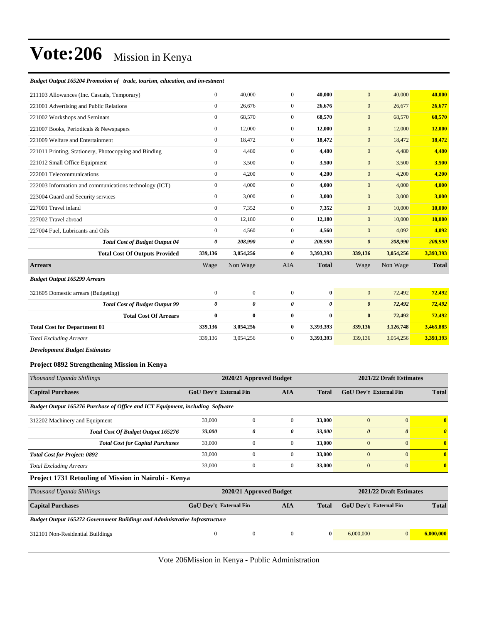#### *Budget Output 165204 Promotion of trade, tourism, education, and investment*

| 211103 Allowances (Inc. Casuals, Temporary)            | $\mathbf{0}$     | 40,000       | $\overline{0}$ | 40,000       | $\mathbf{0}$          | 40,000    | 40,000       |
|--------------------------------------------------------|------------------|--------------|----------------|--------------|-----------------------|-----------|--------------|
| 221001 Advertising and Public Relations                | $\mathbf{0}$     | 26,676       | $\overline{0}$ | 26,676       | $\mathbf{0}$          | 26,677    | 26,677       |
| 221002 Workshops and Seminars                          | $\overline{0}$   | 68,570       | $\overline{0}$ | 68,570       | $\mathbf{0}$          | 68,570    | 68,570       |
| 221007 Books, Periodicals & Newspapers                 | $\mathbf{0}$     | 12,000       | $\overline{0}$ | 12,000       | $\mathbf{0}$          | 12,000    | 12,000       |
| 221009 Welfare and Entertainment                       | $\mathbf{0}$     | 18,472       | $\overline{0}$ | 18,472       | $\mathbf{0}$          | 18,472    | 18,472       |
| 221011 Printing, Stationery, Photocopying and Binding  | $\boldsymbol{0}$ | 4,480        | $\mathbf{0}$   | 4,480        | $\mathbf{0}$          | 4,480     | 4,480        |
| 221012 Small Office Equipment                          | $\mathbf{0}$     | 3,500        | $\overline{0}$ | 3,500        | $\mathbf{0}$          | 3,500     | 3,500        |
| 222001 Telecommunications                              | $\mathbf{0}$     | 4,200        | $\overline{0}$ | 4,200        | $\mathbf{0}$          | 4,200     | 4,200        |
| 222003 Information and communications technology (ICT) | $\mathbf{0}$     | 4.000        | $\overline{0}$ | 4,000        | $\mathbf{0}$          | 4,000     | 4,000        |
| 223004 Guard and Security services                     | $\mathbf{0}$     | 3,000        | $\overline{0}$ | 3,000        | $\mathbf{0}$          | 3,000     | 3,000        |
| 227001 Travel inland                                   | $\mathbf{0}$     | 7,352        | $\overline{0}$ | 7,352        | $\mathbf{0}$          | 10,000    | 10,000       |
| 227002 Travel abroad                                   | $\Omega$         | 12,180       | $\overline{0}$ | 12,180       | $\overline{0}$        | 10,000    | 10,000       |
| 227004 Fuel, Lubricants and Oils                       | $\mathbf{0}$     | 4,560        | $\overline{0}$ | 4,560        | $\mathbf{0}$          | 4,092     | 4,092        |
| <b>Total Cost of Budget Output 04</b>                  | 0                | 208,990      | 0              | 208,990      | $\boldsymbol{\theta}$ | 208,990   | 208,990      |
| <b>Total Cost Of Outputs Provided</b>                  | 339,136          | 3,054,256    | $\bf{0}$       | 3,393,393    | 339,136               | 3,054,256 | 3,393,393    |
| <b>Arrears</b>                                         | Wage             | Non Wage     | <b>AIA</b>     | <b>Total</b> | Wage                  | Non Wage  | <b>Total</b> |
| <b>Budget Output 165299 Arrears</b>                    |                  |              |                |              |                       |           |              |
| 321605 Domestic arrears (Budgeting)                    | $\overline{0}$   | $\mathbf{0}$ | $\overline{0}$ | $\bf{0}$     | $\mathbf{0}$          | 72,492    | 72,492       |
| <b>Total Cost of Budget Output 99</b>                  | 0                | 0            | 0              | 0            | $\boldsymbol{\theta}$ | 72,492    | 72,492       |
| <b>Total Cost Of Arrears</b>                           | $\bf{0}$         | $\bf{0}$     | $\bf{0}$       | $\bf{0}$     | $\bf{0}$              | 72,492    | 72,492       |
| <b>Total Cost for Department 01</b>                    | 339,136          | 3,054,256    | $\bf{0}$       | 3,393,393    | 339,136               | 3,126,748 | 3,465,885    |
| <b>Total Excluding Arrears</b>                         | 339,136          | 3,054,256    | $\overline{0}$ | 3,393,393    | 339,136               | 3,054,256 | 3,393,393    |
| <b>Development Budget Estimates</b>                    |                  |              |                |              |                       |           |              |

#### **Project 0892 Strengthening Mission in Kenya**

| Thousand Uganda Shillings                                                     | 2020/21 Approved Budget                     |              | 2021/22 Draft Estimates |                         |                               |                       |              |
|-------------------------------------------------------------------------------|---------------------------------------------|--------------|-------------------------|-------------------------|-------------------------------|-----------------------|--------------|
| <b>Capital Purchases</b>                                                      | <b>GoU Dev't External Fin</b><br><b>AIA</b> |              |                         | <b>Total</b>            | <b>GoU</b> Dev't External Fin |                       | <b>Total</b> |
| Budget Output 165276 Purchase of Office and ICT Equipment, including Software |                                             |              |                         |                         |                               |                       |              |
| 312202 Machinery and Equipment                                                | 33,000                                      | $\mathbf{0}$ | $\overline{0}$          | 33,000                  | $\overline{0}$                | $\mathbf{0}$          | $\mathbf{0}$ |
| Total Cost Of Budget Output 165276                                            | 33,000                                      | 0            | 0                       | 33,000                  | $\boldsymbol{\theta}$         | $\boldsymbol{\theta}$ | $\theta$     |
| <b>Total Cost for Capital Purchases</b>                                       | 33,000                                      | $\mathbf{0}$ | $\mathbf{0}$            | 33,000                  | $\overline{0}$                | $\mathbf{0}$          | $\bf{0}$     |
| <b>Total Cost for Project: 0892</b>                                           | 33,000                                      | $\Omega$     | $\Omega$                | 33,000                  | $\overline{0}$                | $\mathbf{0}$          | $\mathbf{0}$ |
| <b>Total Excluding Arrears</b>                                                | 33,000                                      | $\mathbf{0}$ | $\overline{0}$          | 33,000                  | $\overline{0}$                | $\mathbf{0}$          | $\mathbf{0}$ |
| Project 1731 Retooling of Mission in Nairobi - Kenya                          |                                             |              |                         |                         |                               |                       |              |
| Thousand Uganda Shillings                                                     | 2020/21 Approved Budget                     |              |                         | 2021/22 Draft Estimates |                               |                       |              |
| <b>Capital Purchases</b>                                                      | <b>GoU Dev't External Fin</b>               |              | <b>AIA</b>              | <b>Total</b>            | GoU Dev't External Fin        |                       | <b>Total</b> |

*Budget Output 165272 Government Buildings and Administrative Infrastructure*

| 312101 Non-Residential Buildings |  |  |  |  |
|----------------------------------|--|--|--|--|
|                                  |  |  |  |  |

Vote 206Mission in Kenya - Public Administration